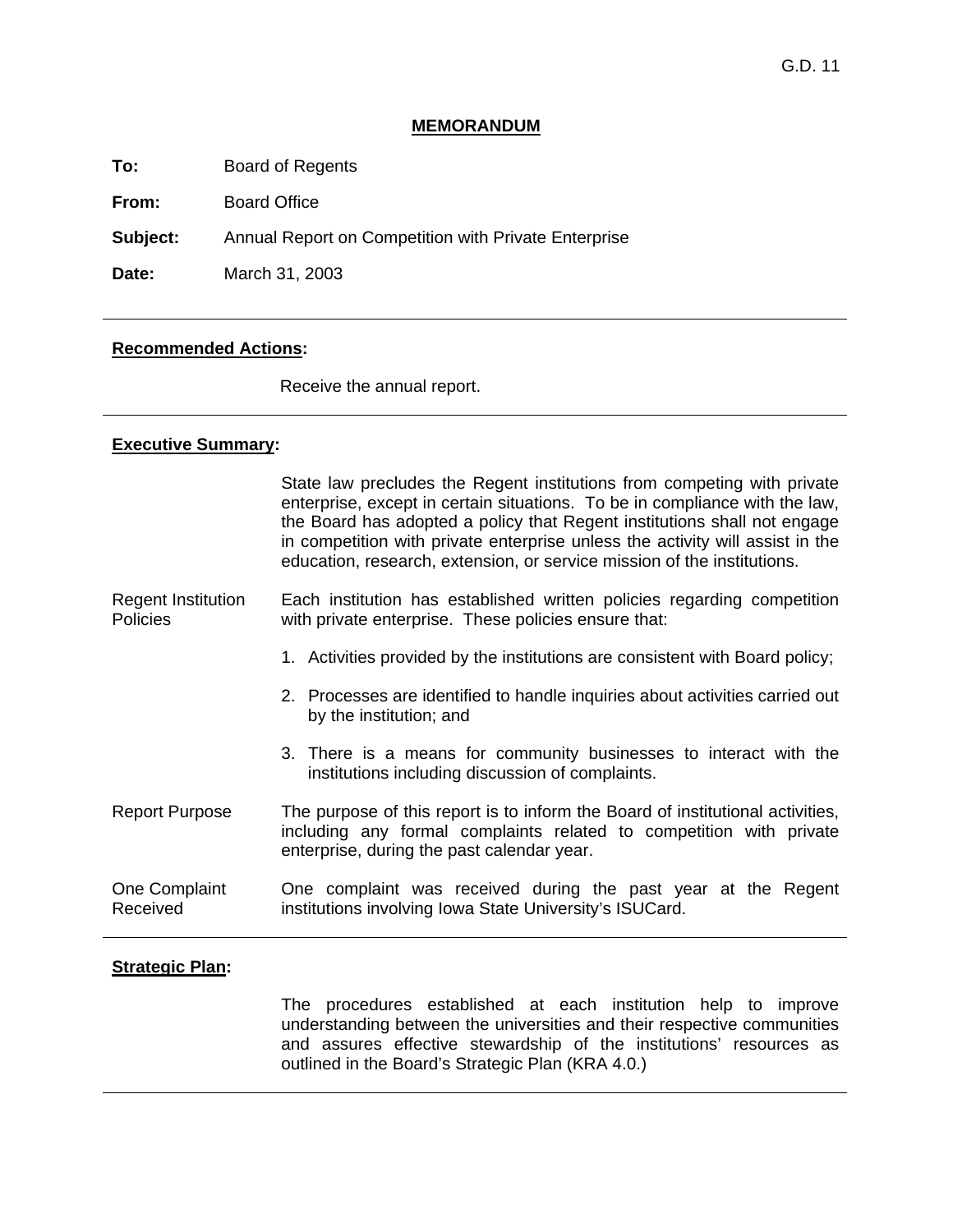#### **MEMORANDUM**

**To:** Board of Regents

**From:** Board Office

**Subject:** Annual Report on Competition with Private Enterprise

**Date:** March 31, 2003

#### **Recommended Actions:**

Receive the annual report.

#### **Executive Summary:**

 State law precludes the Regent institutions from competing with private enterprise, except in certain situations. To be in compliance with the law, the Board has adopted a policy that Regent institutions shall not engage in competition with private enterprise unless the activity will assist in the education, research, extension, or service mission of the institutions.

#### Regent Institution Policies Each institution has established written policies regarding competition with private enterprise. These policies ensure that:

- 1. Activities provided by the institutions are consistent with Board policy;
- 2. Processes are identified to handle inquiries about activities carried out by the institution; and
- 3. There is a means for community businesses to interact with the institutions including discussion of complaints.
- Report Purpose The purpose of this report is to inform the Board of institutional activities, including any formal complaints related to competition with private enterprise, during the past calendar year.
- One Complaint Received One complaint was received during the past year at the Regent institutions involving Iowa State University's ISUCard.

## **Strategic Plan:**

 The procedures established at each institution help to improve understanding between the universities and their respective communities and assures effective stewardship of the institutions' resources as outlined in the Board's Strategic Plan (KRA 4.0.)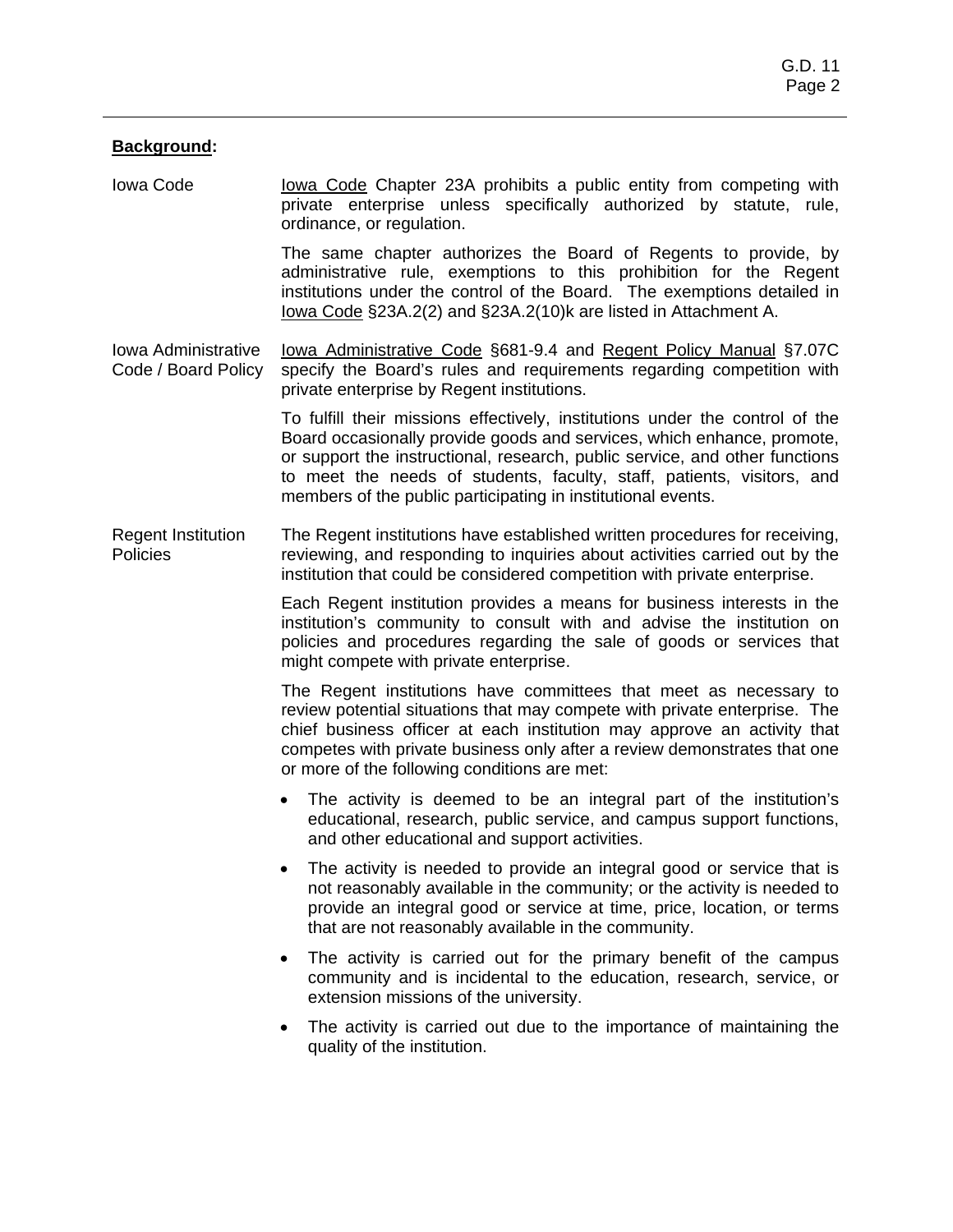# **Background:**

Iowa Code Iowa Code Chapter 23A prohibits a public entity from competing with private enterprise unless specifically authorized by statute, rule, ordinance, or regulation.

> The same chapter authorizes the Board of Regents to provide, by administrative rule, exemptions to this prohibition for the Regent institutions under the control of the Board. The exemptions detailed in Iowa Code §23A.2(2) and §23A.2(10)k are listed in Attachment A.

Iowa Administrative Code / Board Policy Iowa Administrative Code §681-9.4 and Regent Policy Manual §7.07C specify the Board's rules and requirements regarding competition with private enterprise by Regent institutions.

> To fulfill their missions effectively, institutions under the control of the Board occasionally provide goods and services, which enhance, promote, or support the instructional, research, public service, and other functions to meet the needs of students, faculty, staff, patients, visitors, and members of the public participating in institutional events.

The Regent institutions have established written procedures for receiving, reviewing, and responding to inquiries about activities carried out by the institution that could be considered competition with private enterprise. Regent Institution **Policies** 

> Each Regent institution provides a means for business interests in the institution's community to consult with and advise the institution on policies and procedures regarding the sale of goods or services that might compete with private enterprise.

> The Regent institutions have committees that meet as necessary to review potential situations that may compete with private enterprise. The chief business officer at each institution may approve an activity that competes with private business only after a review demonstrates that one or more of the following conditions are met:

- The activity is deemed to be an integral part of the institution's educational, research, public service, and campus support functions, and other educational and support activities.
- The activity is needed to provide an integral good or service that is not reasonably available in the community; or the activity is needed to provide an integral good or service at time, price, location, or terms that are not reasonably available in the community.
- The activity is carried out for the primary benefit of the campus community and is incidental to the education, research, service, or extension missions of the university.
- The activity is carried out due to the importance of maintaining the quality of the institution.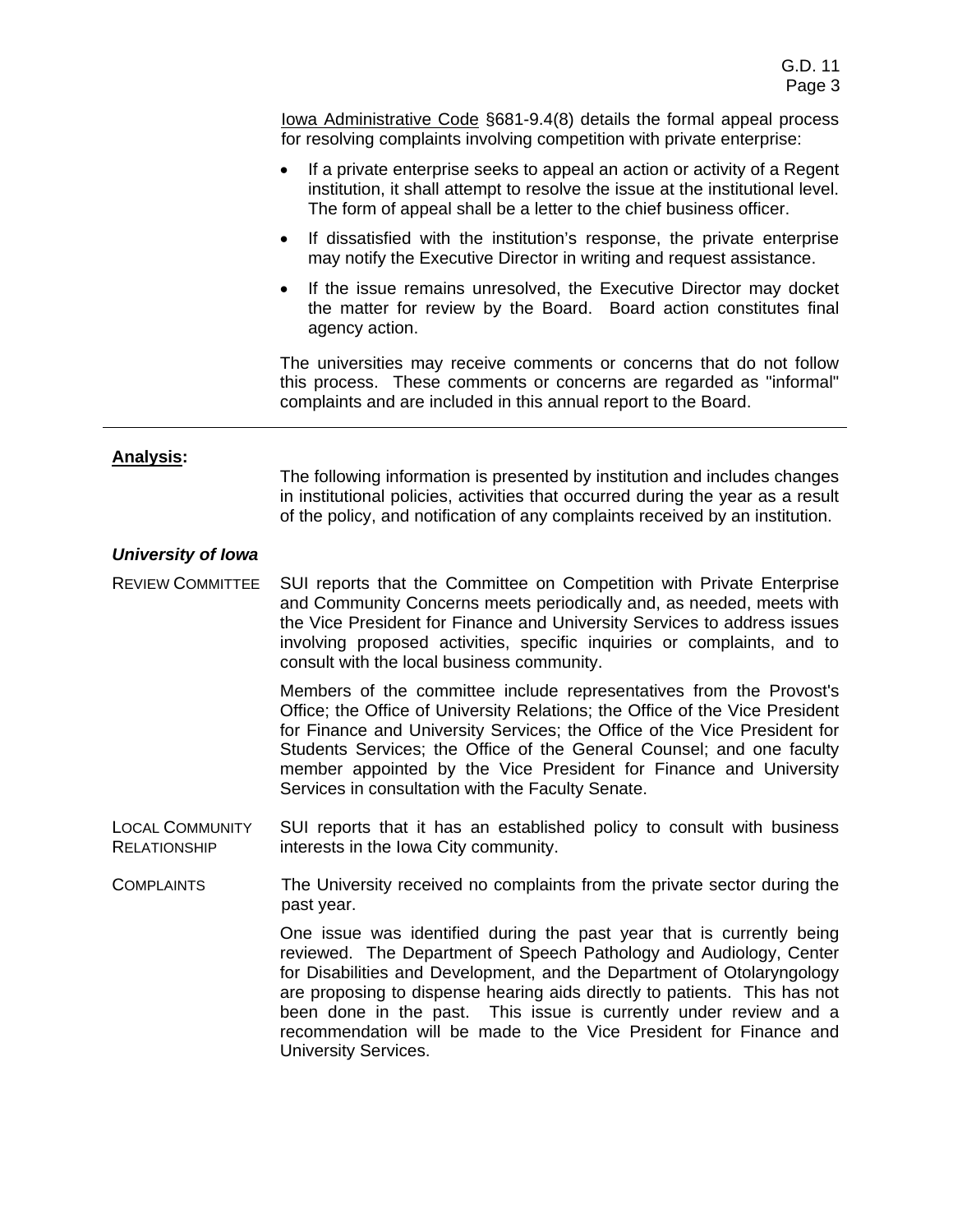Iowa Administrative Code §681-9.4(8) details the formal appeal process for resolving complaints involving competition with private enterprise:

- If a private enterprise seeks to appeal an action or activity of a Regent institution, it shall attempt to resolve the issue at the institutional level. The form of appeal shall be a letter to the chief business officer.
- If dissatisfied with the institution's response, the private enterprise may notify the Executive Director in writing and request assistance.
- If the issue remains unresolved, the Executive Director may docket the matter for review by the Board. Board action constitutes final agency action.

 The universities may receive comments or concerns that do not follow this process. These comments or concerns are regarded as "informal" complaints and are included in this annual report to the Board.

# **Analysis:**

The following information is presented by institution and includes changes in institutional policies, activities that occurred during the year as a result of the policy, and notification of any complaints received by an institution.

# *University of Iowa*

REVIEW COMMITTEE SUI reports that the Committee on Competition with Private Enterprise and Community Concerns meets periodically and, as needed, meets with the Vice President for Finance and University Services to address issues involving proposed activities, specific inquiries or complaints, and to consult with the local business community.

> Members of the committee include representatives from the Provost's Office; the Office of University Relations; the Office of the Vice President for Finance and University Services; the Office of the Vice President for Students Services; the Office of the General Counsel; and one faculty member appointed by the Vice President for Finance and University Services in consultation with the Faculty Senate.

- LOCAL COMMUNITY RELATIONSHIP SUI reports that it has an established policy to consult with business interests in the Iowa City community.
- The University received no complaints from the private sector during the past year. **COMPLAINTS**

One issue was identified during the past year that is currently being reviewed. The Department of Speech Pathology and Audiology, Center for Disabilities and Development, and the Department of Otolaryngology are proposing to dispense hearing aids directly to patients. This has not been done in the past. This issue is currently under review and a recommendation will be made to the Vice President for Finance and University Services.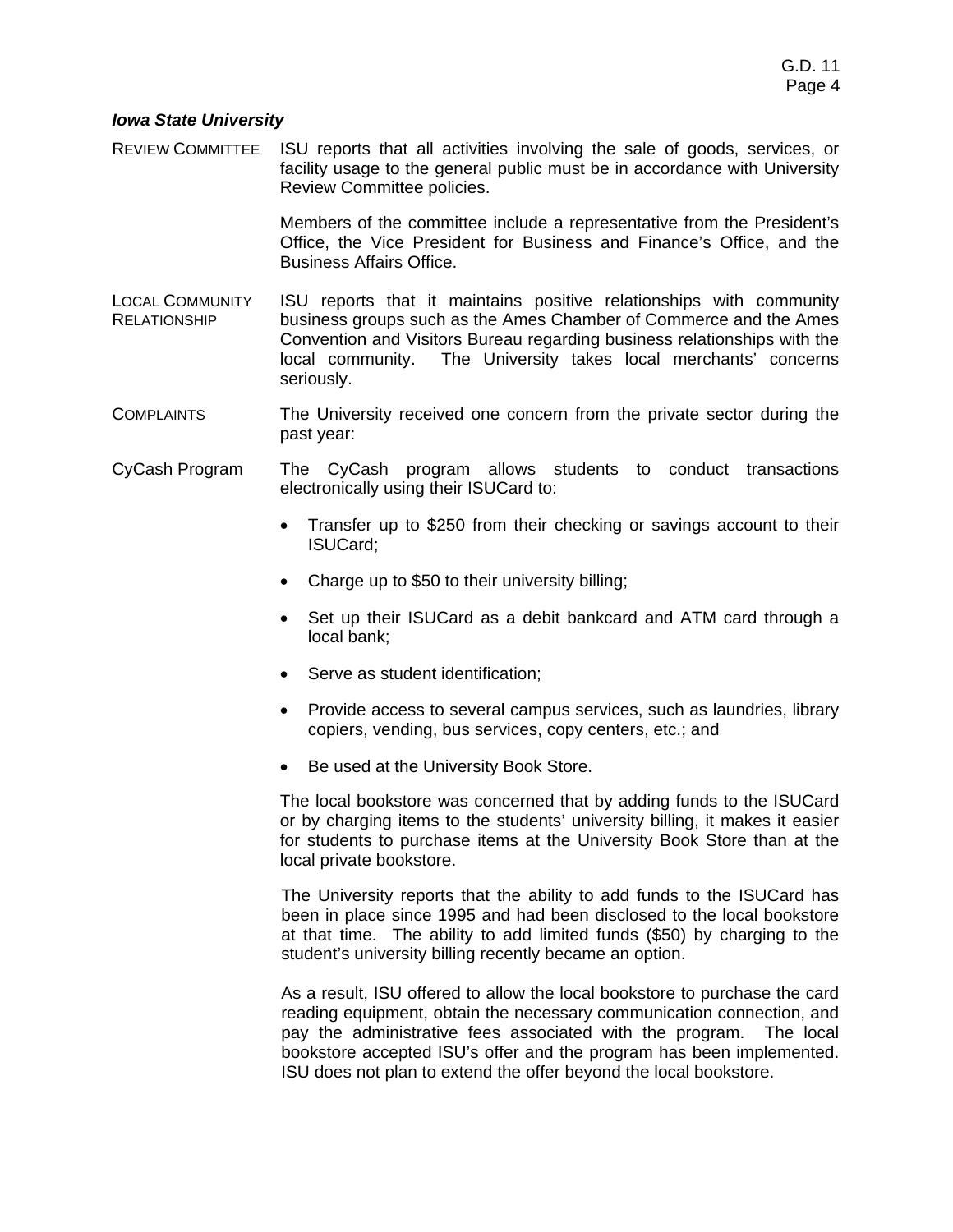# *Iowa State University*

REVIEW COMMITTEE ISU reports that all activities involving the sale of goods, services, or facility usage to the general public must be in accordance with University Review Committee policies.

> Members of the committee include a representative from the President's Office, the Vice President for Business and Finance's Office, and the Business Affairs Office.

- LOCAL COMMUNITY RELATIONSHIP ISU reports that it maintains positive relationships with community business groups such as the Ames Chamber of Commerce and the Ames Convention and Visitors Bureau regarding business relationships with the local community. The University takes local merchants' concerns seriously.
- COMPLAINTS The University received one concern from the private sector during the past year:
- CyCash Program The CyCash program allows students to conduct transactions electronically using their ISUCard to:
	- Transfer up to \$250 from their checking or savings account to their ISUCard;
	- Charge up to \$50 to their university billing;
	- Set up their ISUCard as a debit bankcard and ATM card through a local bank;
	- Serve as student identification;
	- Provide access to several campus services, such as laundries, library copiers, vending, bus services, copy centers, etc.; and
	- Be used at the University Book Store.

The local bookstore was concerned that by adding funds to the ISUCard or by charging items to the students' university billing, it makes it easier for students to purchase items at the University Book Store than at the local private bookstore.

The University reports that the ability to add funds to the ISUCard has been in place since 1995 and had been disclosed to the local bookstore at that time. The ability to add limited funds (\$50) by charging to the student's university billing recently became an option.

As a result, ISU offered to allow the local bookstore to purchase the card reading equipment, obtain the necessary communication connection, and pay the administrative fees associated with the program. The local bookstore accepted ISU's offer and the program has been implemented. ISU does not plan to extend the offer beyond the local bookstore.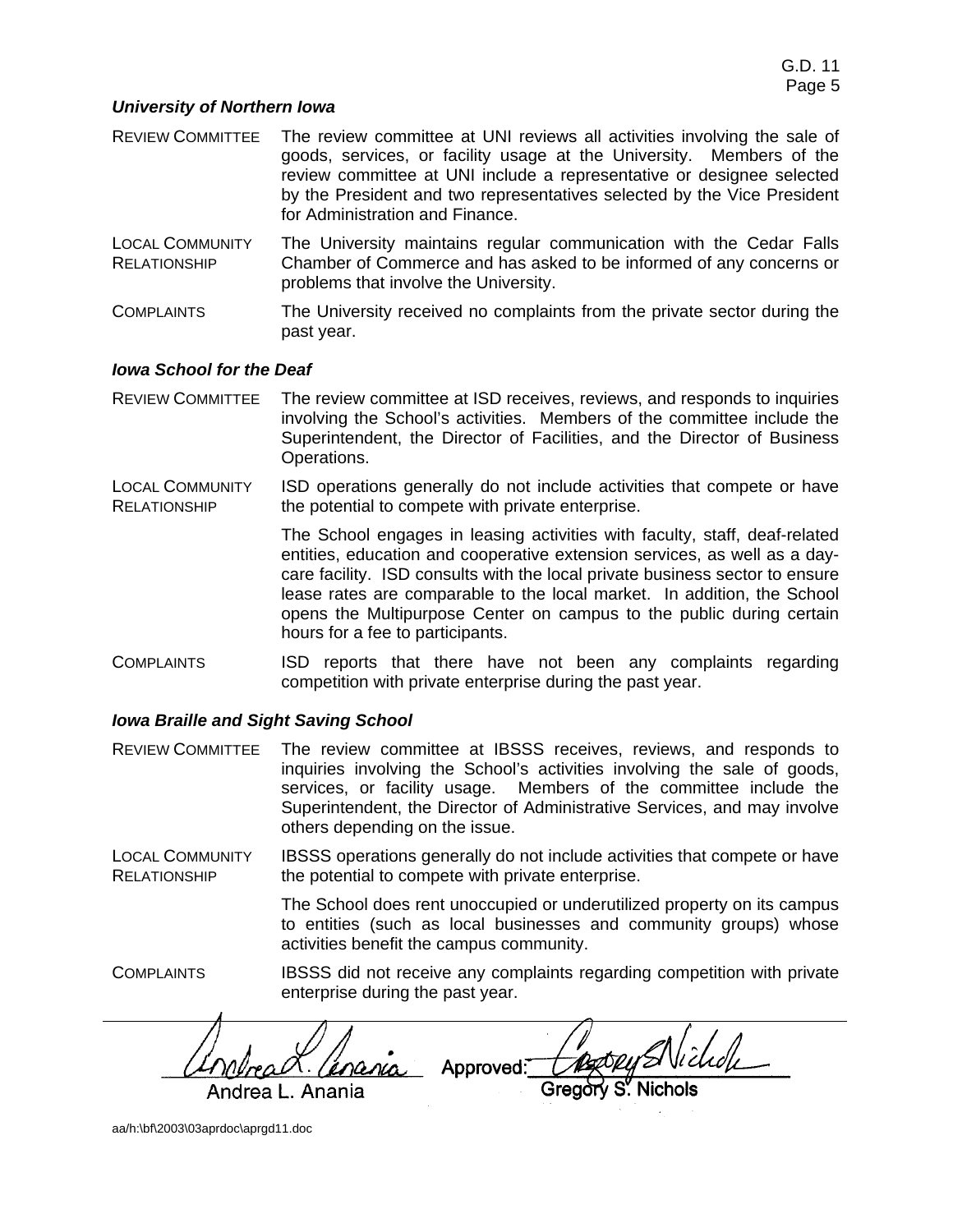## *University of Northern Iowa*

- REVIEW COMMITTEE The review committee at UNI reviews all activities involving the sale of goods, services, or facility usage at the University. Members of the review committee at UNI include a representative or designee selected by the President and two representatives selected by the Vice President for Administration and Finance.
- LOCAL COMMUNITY **RELATIONSHIP** The University maintains regular communication with the Cedar Falls Chamber of Commerce and has asked to be informed of any concerns or problems that involve the University.
- COMPLAINTS The University received no complaints from the private sector during the past year.

## *Iowa School for the Deaf*

- REVIEW COMMITTEE The review committee at ISD receives, reviews, and responds to inquiries involving the School's activities. Members of the committee include the Superintendent, the Director of Facilities, and the Director of Business Operations.
- LOCAL COMMUNITY RELATIONSHIP ISD operations generally do not include activities that compete or have the potential to compete with private enterprise.

The School engages in leasing activities with faculty, staff, deaf-related entities, education and cooperative extension services, as well as a daycare facility. ISD consults with the local private business sector to ensure lease rates are comparable to the local market. In addition, the School opens the Multipurpose Center on campus to the public during certain hours for a fee to participants.

COMPLAINTS ISD reports that there have not been any complaints regarding competition with private enterprise during the past year.

## *Iowa Braille and Sight Saving School*

REVIEW COMMITTEE The review committee at IBSSS receives, reviews, and responds to inquiries involving the School's activities involving the sale of goods, services, or facility usage. Members of the committee include the Superintendent, the Director of Administrative Services, and may involve others depending on the issue.

LOCAL COMMUNITY RELATIONSHIP IBSSS operations generally do not include activities that compete or have the potential to compete with private enterprise.

> The School does rent unoccupied or underutilized property on its campus to entities (such as local businesses and community groups) whose activities benefit the campus community.

COMPLAINTS IBSSS did not receive any complaints regarding competition with private enterprise during the past year.

<u>'inania</u> Approved: Andrea L. Anania

aa/h:\bf\2003\03aprdoc\aprgd11.doc